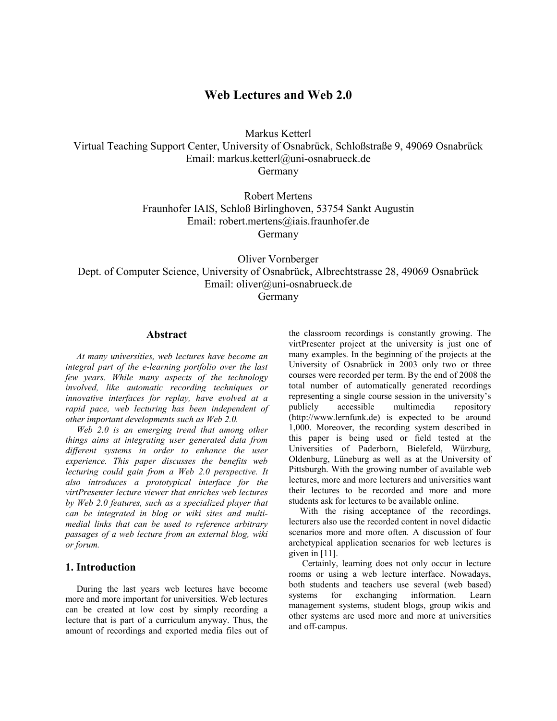# **Web Lectures and Web 2.0**

Markus Ketterl Virtual Teaching Support Center, University of Osnabrück, Schloßstraße 9, 49069 Osnabrück Email: markus.ketterl@uni-osnabrueck.de Germany

> Robert Mertens Fraunhofer IAIS, Schloß Birlinghoven, 53754 Sankt Augustin Email: robert.mertens@iais.fraunhofer.de Germany

Oliver Vornberger Dept. of Computer Science, University of Osnabrück, Albrechtstrasse 28, 49069 Osnabrück Email: oliver@uni-osnabrueck.de

Germany

#### **Abstract**

*At many universities, web lectures have become an integral part of the e-learning portfolio over the last few years. While many aspects of the technology involved, like automatic recording techniques or innovative interfaces for replay, have evolved at a rapid pace, web lecturing has been independent of other important developments such as Web 2.0.* 

*Web 2.0 is an emerging trend that among other things aims at integrating user generated data from different systems in order to enhance the user experience. This paper discusses the benefits web lecturing could gain from a Web 2.0 perspective. It also introduces a prototypical interface for the virtPresenter lecture viewer that enriches web lectures by Web 2.0 features, such as a specialized player that can be integrated in blog or wiki sites and multimedial links that can be used to reference arbitrary passages of a web lecture from an external blog, wiki or forum.* 

### **1. Introduction**

During the last years web lectures have become more and more important for universities. Web lectures can be created at low cost by simply recording a lecture that is part of a curriculum anyway. Thus, the amount of recordings and exported media files out of the classroom recordings is constantly growing. The virtPresenter project at the university is just one of many examples. In the beginning of the projects at the University of Osnabrück in 2003 only two or three courses were recorded per term. By the end of 2008 the total number of automatically generated recordings representing a single course session in the university's<br>publicly accessible multimedia repository publicly accessible multimedia (http://www.lernfunk.de) is expected to be around 1,000. Moreover, the recording system described in this paper is being used or field tested at the Universities of Paderborn, Bielefeld, Würzburg, Oldenburg, Lüneburg as well as at the University of Pittsburgh. With the growing number of available web lectures, more and more lecturers and universities want their lectures to be recorded and more and more students ask for lectures to be available online.

With the rising acceptance of the recordings, lecturers also use the recorded content in novel didactic scenarios more and more often. A discussion of four archetypical application scenarios for web lectures is given in [11].

 Certainly, learning does not only occur in lecture rooms or using a web lecture interface. Nowadays, both students and teachers use several (web based) systems for exchanging information. Learn management systems, student blogs, group wikis and other systems are used more and more at universities and off-campus.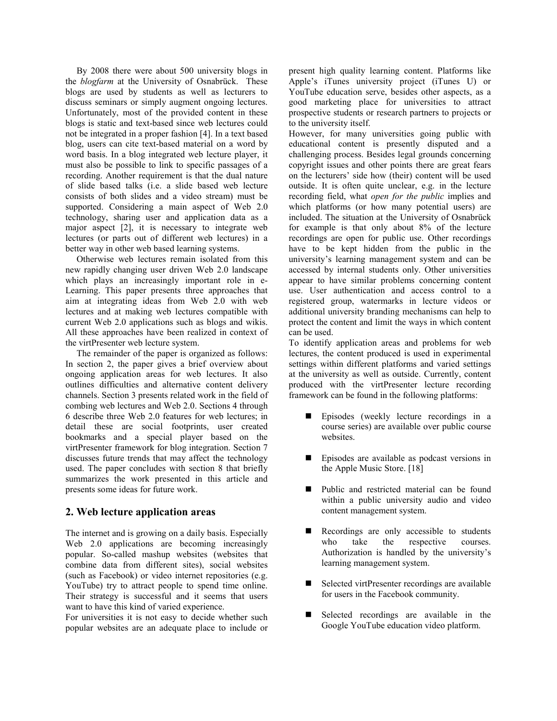By 2008 there were about 500 university blogs in the *blogfarm* at the University of Osnabrück. These blogs are used by students as well as lecturers to discuss seminars or simply augment ongoing lectures. Unfortunately, most of the provided content in these blogs is static and text-based since web lectures could not be integrated in a proper fashion [4]. In a text based blog, users can cite text-based material on a word by word basis. In a blog integrated web lecture player, it must also be possible to link to specific passages of a recording. Another requirement is that the dual nature of slide based talks (i.e. a slide based web lecture consists of both slides and a video stream) must be supported. Considering a main aspect of Web 2.0 technology, sharing user and application data as a major aspect [2], it is necessary to integrate web lectures (or parts out of different web lectures) in a better way in other web based learning systems.

Otherwise web lectures remain isolated from this new rapidly changing user driven Web 2.0 landscape which plays an increasingly important role in e-Learning. This paper presents three approaches that aim at integrating ideas from Web 2.0 with web lectures and at making web lectures compatible with current Web 2.0 applications such as blogs and wikis. All these approaches have been realized in context of the virtPresenter web lecture system.

The remainder of the paper is organized as follows: In section 2, the paper gives a brief overview about ongoing application areas for web lectures. It also outlines difficulties and alternative content delivery channels. Section 3 presents related work in the field of combing web lectures and Web 2.0. Sections 4 through 6 describe three Web 2.0 features for web lectures; in detail these are social footprints, user created bookmarks and a special player based on the virtPresenter framework for blog integration. Section 7 discusses future trends that may affect the technology used. The paper concludes with section 8 that briefly summarizes the work presented in this article and presents some ideas for future work.

## **2. Web lecture application areas**

The internet and is growing on a daily basis. Especially Web 2.0 applications are becoming increasingly popular. So-called mashup websites (websites that combine data from different sites), social websites (such as Facebook) or video internet repositories (e.g. YouTube) try to attract people to spend time online. Their strategy is successful and it seems that users want to have this kind of varied experience.

For universities it is not easy to decide whether such popular websites are an adequate place to include or

present high quality learning content. Platforms like Apple's iTunes university project (iTunes U) or YouTube education serve, besides other aspects, as a good marketing place for universities to attract prospective students or research partners to projects or to the university itself.

However, for many universities going public with educational content is presently disputed and a challenging process. Besides legal grounds concerning copyright issues and other points there are great fears on the lecturers' side how (their) content will be used outside. It is often quite unclear, e.g. in the lecture recording field, what *open for the public* implies and which platforms (or how many potential users) are included. The situation at the University of Osnabrück for example is that only about 8% of the lecture recordings are open for public use. Other recordings have to be kept hidden from the public in the university's learning management system and can be accessed by internal students only. Other universities appear to have similar problems concerning content use. User authentication and access control to a registered group, watermarks in lecture videos or additional university branding mechanisms can help to protect the content and limit the ways in which content can be used.

To identify application areas and problems for web lectures, the content produced is used in experimental settings within different platforms and varied settings at the university as well as outside. Currently, content produced with the virtPresenter lecture recording framework can be found in the following platforms:

- **Episodes** (weekly lecture recordings in a course series) are available over public course websites.
- Episodes are available as podcast versions in the Apple Music Store. [18]
- Public and restricted material can be found within a public university audio and video content management system.
- Recordings are only accessible to students who take the respective courses. Authorization is handled by the university's learning management system.
- Selected virtPresenter recordings are available for users in the Facebook community.
- Selected recordings are available in the Google YouTube education video platform.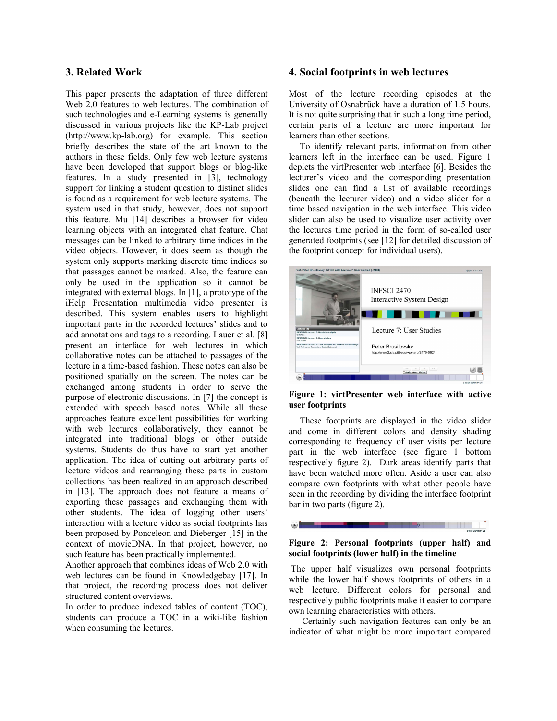#### **3. Related Work**

This paper presents the adaptation of three different Web 2.0 features to web lectures. The combination of such technologies and e-Learning systems is generally discussed in various projects like the KP-Lab project (http://www.kp-lab.org) for example. This section briefly describes the state of the art known to the authors in these fields. Only few web lecture systems have been developed that support blogs or blog-like features. In a study presented in [3], technology support for linking a student question to distinct slides is found as a requirement for web lecture systems. The system used in that study, however, does not support this feature. Mu [14] describes a browser for video learning objects with an integrated chat feature. Chat messages can be linked to arbitrary time indices in the video objects. However, it does seem as though the system only supports marking discrete time indices so that passages cannot be marked. Also, the feature can only be used in the application so it cannot be integrated with external blogs. In [1], a prototype of the iHelp Presentation multimedia video presenter is described. This system enables users to highlight important parts in the recorded lectures' slides and to add annotations and tags to a recording. Lauer et al. [8] present an interface for web lectures in which collaborative notes can be attached to passages of the lecture in a time-based fashion. These notes can also be positioned spatially on the screen. The notes can be exchanged among students in order to serve the purpose of electronic discussions. In [7] the concept is extended with speech based notes. While all these approaches feature excellent possibilities for working with web lectures collaboratively, they cannot be integrated into traditional blogs or other outside systems. Students do thus have to start yet another application. The idea of cutting out arbitrary parts of lecture videos and rearranging these parts in custom collections has been realized in an approach described in [13]. The approach does not feature a means of exporting these passages and exchanging them with other students. The idea of logging other users' interaction with a lecture video as social footprints has been proposed by Ponceleon and Dieberger [15] in the context of movieDNA. In that project, however, no such feature has been practically implemented.

Another approach that combines ideas of Web 2.0 with web lectures can be found in Knowledgebay [17]. In that project, the recording process does not deliver structured content overviews.

In order to produce indexed tables of content (TOC), students can produce a TOC in a wiki-like fashion when consuming the lectures.

#### **4. Social footprints in web lectures**

Most of the lecture recording episodes at the University of Osnabrück have a duration of 1.5 hours. It is not quite surprising that in such a long time period, certain parts of a lecture are more important for learners than other sections.

To identify relevant parts, information from other learners left in the interface can be used. Figure 1 depicts the virtPresenter web interface [6]. Besides the lecturer's video and the corresponding presentation slides one can find a list of available recordings (beneath the lecturer video) and a video slider for a time based navigation in the web interface. This video slider can also be used to visualize user activity over the lectures time period in the form of so-called user generated footprints (see [12] for detailed discussion of the footprint concept for individual users).



**Figure 1: virtPresenter web interface with active user footprints**

These footprints are displayed in the video slider and come in different colors and density shading corresponding to frequency of user visits per lecture part in the web interface (see figure 1 bottom respectively figure 2). Dark areas identify parts that have been watched more often. Aside a user can also compare own footprints with what other people have seen in the recording by dividing the interface footprint bar in two parts (figure 2).

#### **Figure 2: Personal footprints (upper half) and social footprints (lower half) in the timeline**

 $\odot$  in the  $\blacksquare$ 

 The upper half visualizes own personal footprints while the lower half shows footprints of others in a web lecture. Different colors for personal and respectively public footprints make it easier to compare own learning characteristics with others.

 Certainly such navigation features can only be an indicator of what might be more important compared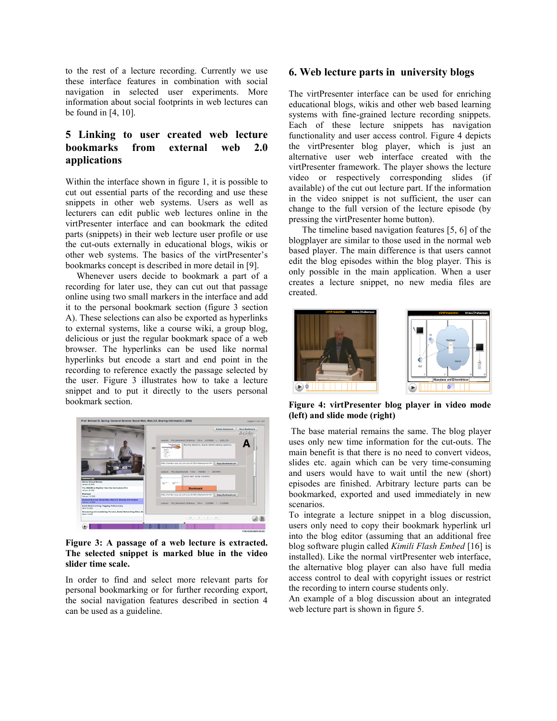to the rest of a lecture recording. Currently we use these interface features in combination with social navigation in selected user experiments. More information about social footprints in web lectures can be found in [4, 10].

# **5 Linking to user created web lecture bookmarks from external web 2.0 applications**

Within the interface shown in figure 1, it is possible to cut out essential parts of the recording and use these snippets in other web systems. Users as well as lecturers can edit public web lectures online in the virtPresenter interface and can bookmark the edited parts (snippets) in their web lecture user profile or use the cut-outs externally in educational blogs, wikis or other web systems. The basics of the virtPresenter's bookmarks concept is described in more detail in [9].

Whenever users decide to bookmark a part of a recording for later use, they can cut out that passage online using two small markers in the interface and add it to the personal bookmark section (figure 3 section A). These selections can also be exported as hyperlinks to external systems, like a course wiki, a group blog, delicious or just the regular bookmark space of a web browser. The hyperlinks can be used like normal hyperlinks but encode a start and end point in the recording to reference exactly the passage selected by the user. Figure 3 illustrates how to take a lecture snippet and to put it directly to the users personal bookmark section.



**Figure 3: A passage of a web lecture is extracted. The selected snippet is marked blue in the video slider time scale.** 

In order to find and select more relevant parts for personal bookmarking or for further recording export, the social navigation features described in section 4 can be used as a guideline.

#### **6. Web lecture parts in university blogs**

The virtPresenter interface can be used for enriching educational blogs, wikis and other web based learning systems with fine-grained lecture recording snippets. Each of these lecture snippets has navigation functionality and user access control. Figure 4 depicts the virtPresenter blog player, which is just an alternative user web interface created with the virtPresenter framework. The player shows the lecture video or respectively corresponding slides (if available) of the cut out lecture part. If the information in the video snippet is not sufficient, the user can change to the full version of the lecture episode (by pressing the virtPresenter home button).

 The timeline based navigation features [5, 6] of the blogplayer are similar to those used in the normal web based player. The main difference is that users cannot edit the blog episodes within the blog player. This is only possible in the main application. When a user creates a lecture snippet, no new media files are created.



**Figure 4: virtPresenter blog player in video mode (left) and slide mode (right)** 

 The base material remains the same. The blog player uses only new time information for the cut-outs. The main benefit is that there is no need to convert videos, slides etc. again which can be very time-consuming and users would have to wait until the new (short) episodes are finished. Arbitrary lecture parts can be bookmarked, exported and used immediately in new scenarios.

To integrate a lecture snippet in a blog discussion, users only need to copy their bookmark hyperlink url into the blog editor (assuming that an additional free blog software plugin called *Kimili Flash Embed* [16] is installed). Like the normal virtPresenter web interface, the alternative blog player can also have full media access control to deal with copyright issues or restrict the recording to intern course students only.

An example of a blog discussion about an integrated web lecture part is shown in figure 5.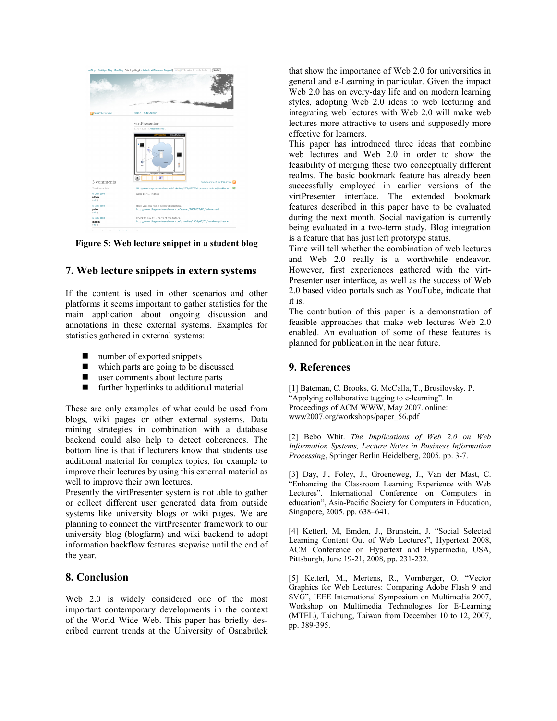|                                  | unBlogs   Zufällges Blog   Mein Blog   Frisch gebloggt: mketteri - virtPresenter Snipped   Google" Benutzerdetnierte Suche<br>Suche |
|----------------------------------|-------------------------------------------------------------------------------------------------------------------------------------|
|                                  | Su cash.                                                                                                                            |
| Subscribe to feed<br>3 comments  | Home Site Admin                                                                                                                     |
|                                  | virtPresenter                                                                                                                       |
|                                  | 6. July 2008 in Allgemein (edit)                                                                                                    |
|                                  | <b>Akzepting und Erkenntnisse</b><br>ö<br>Comments feed for this article                                                            |
| Trackback link                   | http://www.blogs.uni-osnabrueck.de/mketterl/2008/07/05/virtpresenter-sripped/trackback/<br>58                                       |
| 6. July 2008<br>aileen<br>(eeit) | Good part Thanks                                                                                                                    |
| 6. July 2008<br>peter<br>(edit)  | Here you can find a better description<br>http://www.blogs.uni-osnabrueck.de/sbauer/2008/07/08/lecture-part                         |
| 6. July 2008<br>martin<br>(edit) | Check this out!! - parts of the tutorial<br>http://www.blogs.uni-osnabrueck.de/pmueller/2008/07/07/handlungstheorie                 |

**Figure 5: Web lecture snippet in a student blog** 

## **7. Web lecture snippets in extern systems**

If the content is used in other scenarios and other platforms it seems important to gather statistics for the main application about ongoing discussion and annotations in these external systems. Examples for statistics gathered in external systems:

- number of exported snippets
- which parts are going to be discussed
- user comments about lecture parts
- **further hyperlinks to additional material**

These are only examples of what could be used from blogs, wiki pages or other external systems. Data mining strategies in combination with a database backend could also help to detect coherences. The bottom line is that if lecturers know that students use additional material for complex topics, for example to improve their lectures by using this external material as well to improve their own lectures.

Presently the virtPresenter system is not able to gather or collect different user generated data from outside systems like university blogs or wiki pages. We are planning to connect the virtPresenter framework to our university blog (blogfarm) and wiki backend to adopt information backflow features stepwise until the end of the year.

## **8. Conclusion**

Web 2.0 is widely considered one of the most important contemporary developments in the context of the World Wide Web. This paper has briefly described current trends at the University of Osnabrück that show the importance of Web 2.0 for universities in general and e-Learning in particular. Given the impact Web 2.0 has on every-day life and on modern learning styles, adopting Web 2.0 ideas to web lecturing and integrating web lectures with Web 2.0 will make web lectures more attractive to users and supposedly more effective for learners.

This paper has introduced three ideas that combine web lectures and Web 2.0 in order to show the feasibility of merging these two conceptually different realms. The basic bookmark feature has already been successfully employed in earlier versions of the virtPresenter interface. The extended bookmark features described in this paper have to be evaluated during the next month. Social navigation is currently being evaluated in a two-term study. Blog integration is a feature that has just left prototype status.

Time will tell whether the combination of web lectures and Web 2.0 really is a worthwhile endeavor. However, first experiences gathered with the virt-Presenter user interface, as well as the success of Web 2.0 based video portals such as YouTube, indicate that it is.

The contribution of this paper is a demonstration of feasible approaches that make web lectures Web 2.0 enabled. An evaluation of some of these features is planned for publication in the near future.

## **9. References**

[1] Bateman, C. Brooks, G. McCalla, T., Brusilovsky. P. "Applying collaborative tagging to e-learning". In Proceedings of ACM WWW, May 2007. online: www2007.org/workshops/paper\_56.pdf

[2] Bebo Whit. *The Implications of Web 2.0 on Web Information Systems, Lecture Notes in Business Information Processing*, Springer Berlin Heidelberg, 2005. pp. 3-7.

[3] Day, J., Foley, J., Groeneweg, J., Van der Mast, C. "Enhancing the Classroom Learning Experience with Web Lectures". International Conference on Computers in education", Asia-Pacific Society for Computers in Education, Singapore, 2005. pp. 638–641.

[4] Ketterl, M, Emden, J., Brunstein, J. "Social Selected Learning Content Out of Web Lectures", Hypertext 2008, ACM Conference on Hypertext and Hypermedia, USA, Pittsburgh, June 19-21, 2008, pp. 231-232.

[5] Ketterl, M., Mertens, R., Vornberger, O. "Vector Graphics for Web Lectures: Comparing Adobe Flash 9 and SVG", IEEE International Symposium on Multimedia 2007, Workshop on Multimedia Technologies for E-Learning (MTEL), Taichung, Taiwan from December 10 to 12, 2007, pp. 389-395.